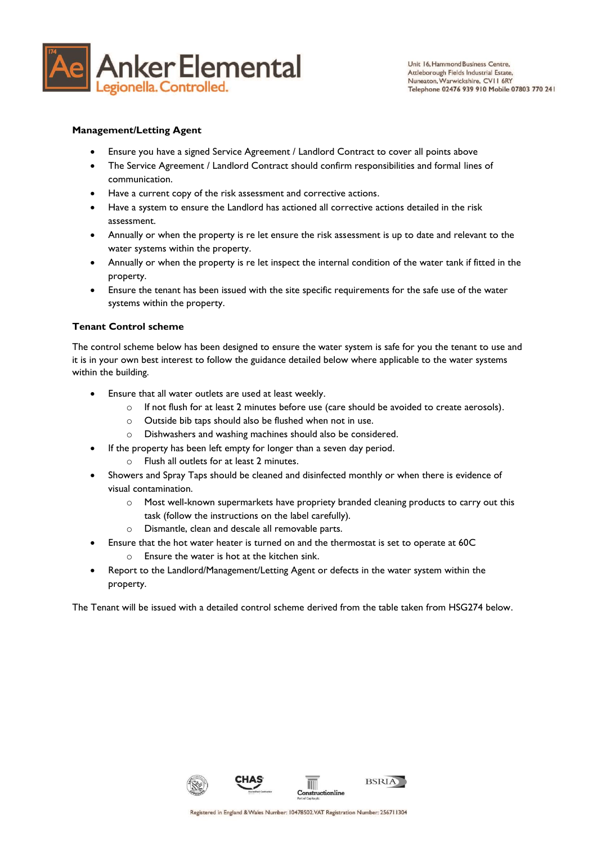

#### **Management/Letting Agent**

- Ensure you have a signed Service Agreement / Landlord Contract to cover all points above
- The Service Agreement / Landlord Contract should confirm responsibilities and formal lines of communication.
- Have a current copy of the risk assessment and corrective actions.
- Have a system to ensure the Landlord has actioned all corrective actions detailed in the risk assessment.
- Annually or when the property is re let ensure the risk assessment is up to date and relevant to the water systems within the property.
- Annually or when the property is re let inspect the internal condition of the water tank if fitted in the property.
- Ensure the tenant has been issued with the site specific requirements for the safe use of the water systems within the property.

#### **Tenant Control scheme**

The control scheme below has been designed to ensure the water system is safe for you the tenant to use and it is in your own best interest to follow the guidance detailed below where applicable to the water systems within the building.

- Ensure that all water outlets are used at least weekly.
	- o If not flush for at least 2 minutes before use (care should be avoided to create aerosols).
	- o Outside bib taps should also be flushed when not in use.
	- o Dishwashers and washing machines should also be considered.
- If the property has been left empty for longer than a seven day period.
	- Flush all outlets for at least 2 minutes.
- Showers and Spray Taps should be cleaned and disinfected monthly or when there is evidence of visual contamination.
	- o Most well-known supermarkets have propriety branded cleaning products to carry out this task (follow the instructions on the label carefully).
	- o Dismantle, clean and descale all removable parts.
- Ensure that the hot water heater is turned on and the thermostat is set to operate at 60C o Ensure the water is hot at the kitchen sink.
- Report to the Landlord/Management/Letting Agent or defects in the water system within the property.

The Tenant will be issued with a detailed control scheme derived from the table taken from HSG274 below.

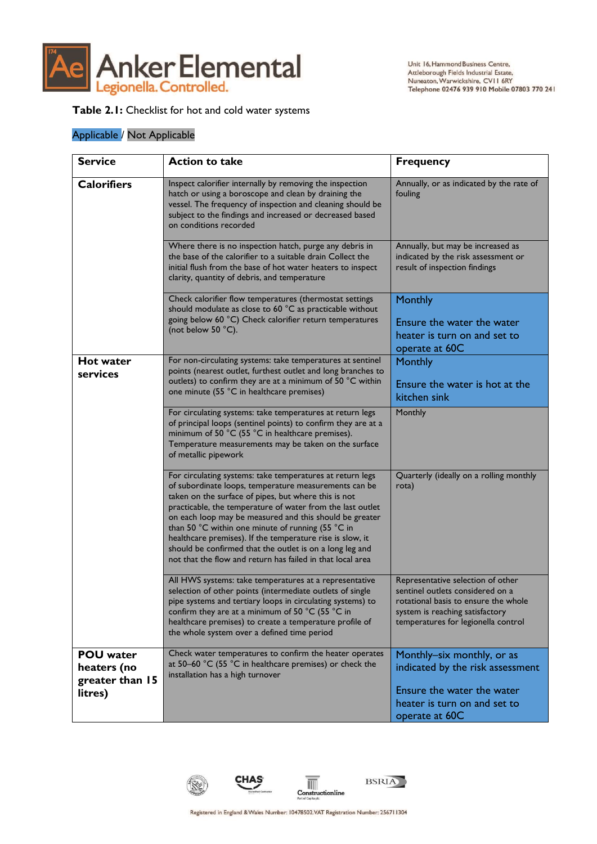

### **Table 2.1:** Checklist for hot and cold water systems

| <b>Calorifiers</b>                                            | Inspect calorifier internally by removing the inspection<br>hatch or using a boroscope and clean by draining the                                                                                                                                                                                                                                                                                                                                                                                                                                | Annually, or as indicated by the rate of                                                                                                                                                |
|---------------------------------------------------------------|-------------------------------------------------------------------------------------------------------------------------------------------------------------------------------------------------------------------------------------------------------------------------------------------------------------------------------------------------------------------------------------------------------------------------------------------------------------------------------------------------------------------------------------------------|-----------------------------------------------------------------------------------------------------------------------------------------------------------------------------------------|
| on conditions recorded                                        | vessel. The frequency of inspection and cleaning should be<br>subject to the findings and increased or decreased based                                                                                                                                                                                                                                                                                                                                                                                                                          | fouling                                                                                                                                                                                 |
|                                                               | Where there is no inspection hatch, purge any debris in<br>the base of the calorifier to a suitable drain Collect the<br>initial flush from the base of hot water heaters to inspect<br>clarity, quantity of debris, and temperature                                                                                                                                                                                                                                                                                                            | Annually, but may be increased as<br>indicated by the risk assessment or<br>result of inspection findings                                                                               |
| (not below 50 °C).                                            | Check calorifier flow temperatures (thermostat settings<br>should modulate as close to 60 °C as practicable without<br>going below 60 °C) Check calorifier return temperatures                                                                                                                                                                                                                                                                                                                                                                  | Monthly<br>Ensure the water the water<br>heater is turn on and set to<br>operate at 60C                                                                                                 |
| <b>Hot water</b><br>services                                  | For non-circulating systems: take temperatures at sentinel<br>points (nearest outlet, furthest outlet and long branches to<br>outlets) to confirm they are at a minimum of 50 °C within<br>one minute (55 °C in healthcare premises)                                                                                                                                                                                                                                                                                                            | Monthly<br>Ensure the water is hot at the<br>kitchen sink                                                                                                                               |
| of metallic pipework                                          | For circulating systems: take temperatures at return legs<br>of principal loops (sentinel points) to confirm they are at a<br>minimum of 50 °C (55 °C in healthcare premises).<br>Temperature measurements may be taken on the surface                                                                                                                                                                                                                                                                                                          | Monthly                                                                                                                                                                                 |
|                                                               | For circulating systems: take temperatures at return legs<br>of subordinate loops, temperature measurements can be<br>taken on the surface of pipes, but where this is not<br>practicable, the temperature of water from the last outlet<br>on each loop may be measured and this should be greater<br>than 50 °C within one minute of running (55 °C in<br>healthcare premises). If the temperature rise is slow, it<br>should be confirmed that the outlet is on a long leg and<br>not that the flow and return has failed in that local area | Quarterly (ideally on a rolling monthly<br>rota)                                                                                                                                        |
|                                                               | All HWS systems: take temperatures at a representative<br>selection of other points (intermediate outlets of single<br>pipe systems and tertiary loops in circulating systems) to<br>confirm they are at a minimum of 50 °C (55 °C in<br>healthcare premises) to create a temperature profile of<br>the whole system over a defined time period                                                                                                                                                                                                 | Representative selection of other<br>sentinel outlets considered on a<br>rotational basis to ensure the whole<br>system is reaching satisfactory<br>temperatures for legionella control |
| <b>POU</b> water<br>heaters (no<br>greater than 15<br>litres) | Check water temperatures to confirm the heater operates<br>at 50-60 °C (55 °C in healthcare premises) or check the<br>installation has a high turnover                                                                                                                                                                                                                                                                                                                                                                                          | Monthly-six monthly, or as<br>indicated by the risk assessment<br>Ensure the water the water<br>heater is turn on and set to<br>operate at 60C                                          |







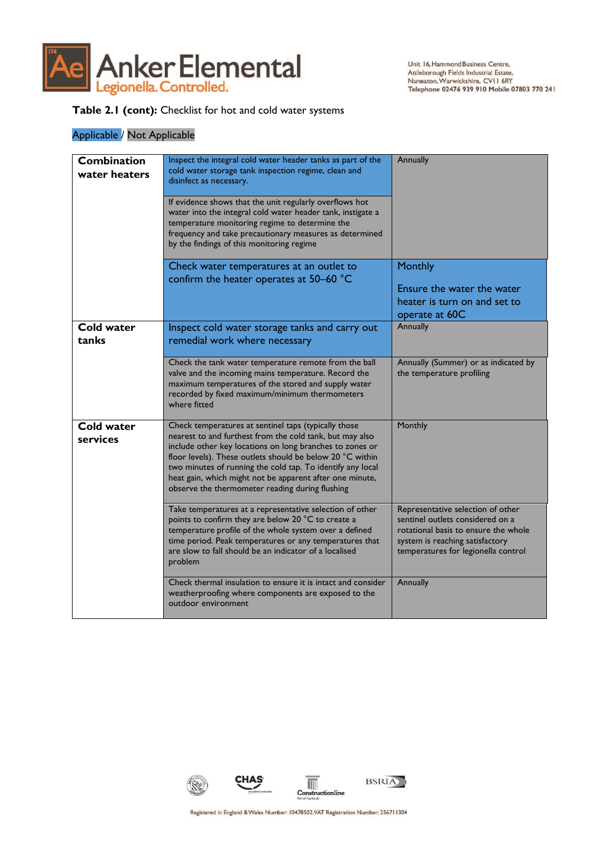

## **Table 2.1 (cont):** Checklist for hot and cold water systems

| <b>Combination</b><br>water heaters | Inspect the integral cold water header tanks as part of the<br>cold water storage tank inspection regime, clean and<br>disinfect as necessary.<br>If evidence shows that the unit regularly overflows hot<br>water into the integral cold water header tank, instigate a<br>temperature monitoring regime to determine the<br>frequency and take precautionary measures as determined<br>by the findings of this monitoring regime | Annually                                                                                                                                                                                |
|-------------------------------------|------------------------------------------------------------------------------------------------------------------------------------------------------------------------------------------------------------------------------------------------------------------------------------------------------------------------------------------------------------------------------------------------------------------------------------|-----------------------------------------------------------------------------------------------------------------------------------------------------------------------------------------|
|                                     | Check water temperatures at an outlet to<br>confirm the heater operates at 50-60 °C                                                                                                                                                                                                                                                                                                                                                | <b>Monthly</b><br>Ensure the water the water<br>heater is turn on and set to<br>operate at 60C                                                                                          |
| <b>Cold water</b><br>tanks          | Inspect cold water storage tanks and carry out<br>remedial work where necessary                                                                                                                                                                                                                                                                                                                                                    | Annually                                                                                                                                                                                |
|                                     | Check the tank water temperature remote from the ball<br>valve and the incoming mains temperature. Record the<br>maximum temperatures of the stored and supply water<br>recorded by fixed maximum/minimum thermometers<br>where fitted                                                                                                                                                                                             | Annually (Summer) or as indicated by<br>the temperature profiling                                                                                                                       |
| <b>Cold water</b><br>services       | Check temperatures at sentinel taps (typically those<br>nearest to and furthest from the cold tank, but may also<br>include other key locations on long branches to zones or<br>floor levels). These outlets should be below 20 °C within<br>two minutes of running the cold tap. To identify any local<br>heat gain, which might not be apparent after one minute,<br>observe the thermometer reading during flushing             | Monthly                                                                                                                                                                                 |
|                                     | Take temperatures at a representative selection of other<br>points to confirm they are below 20 °C to create a<br>temperature profile of the whole system over a defined<br>time period. Peak temperatures or any temperatures that<br>are slow to fall should be an indicator of a localised<br>problem                                                                                                                           | Representative selection of other<br>sentinel outlets considered on a<br>rotational basis to ensure the whole<br>system is reaching satisfactory<br>temperatures for legionella control |
|                                     | Check thermal insulation to ensure it is intact and consider<br>weatherproofing where components are exposed to the<br>outdoor environment                                                                                                                                                                                                                                                                                         | Annually                                                                                                                                                                                |

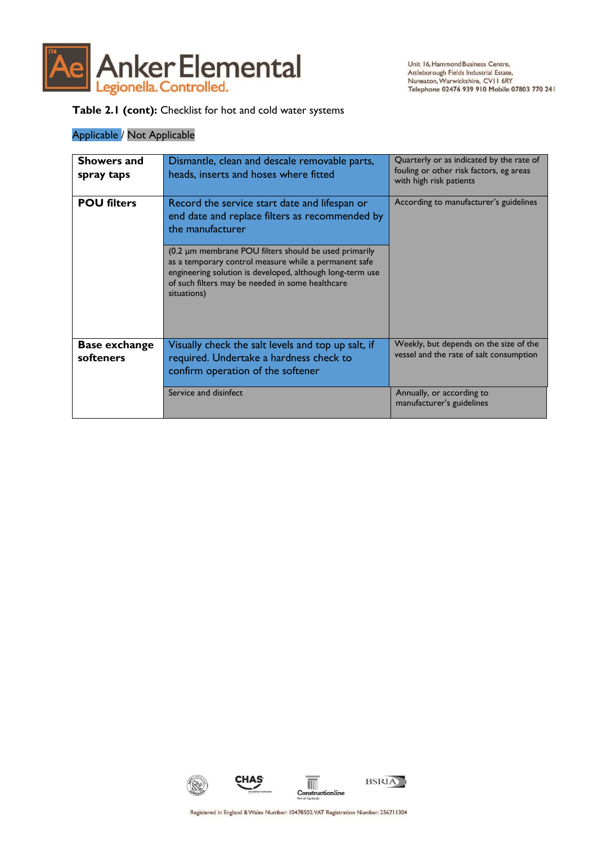

## **Table 2.1 (cont):** Checklist for hot and cold water systems

| <b>Showers and</b><br>spray taps  | Dismantle, clean and descale removable parts,<br>heads, inserts and hoses where fitted                                                                                                                                                         | Quarterly or as indicated by the rate of<br>fouling or other risk factors, eg areas<br>with high risk patients |
|-----------------------------------|------------------------------------------------------------------------------------------------------------------------------------------------------------------------------------------------------------------------------------------------|----------------------------------------------------------------------------------------------------------------|
| <b>POU filters</b>                | Record the service start date and lifespan or<br>end date and replace filters as recommended by<br>the manufacturer                                                                                                                            | According to manufacturer's guidelines                                                                         |
|                                   | (0.2 µm membrane POU filters should be used primarily<br>as a temporary control measure while a permanent safe<br>engineering solution is developed, although long-term use<br>of such filters may be needed in some healthcare<br>situations) |                                                                                                                |
| <b>Base exchange</b><br>softeners | Visually check the salt levels and top up salt, if<br>required. Undertake a hardness check to<br>confirm operation of the softener                                                                                                             | Weekly, but depends on the size of the<br>vessel and the rate of salt consumption                              |
|                                   | Service and disinfect                                                                                                                                                                                                                          | Annually, or according to<br>manufacturer's guidelines                                                         |

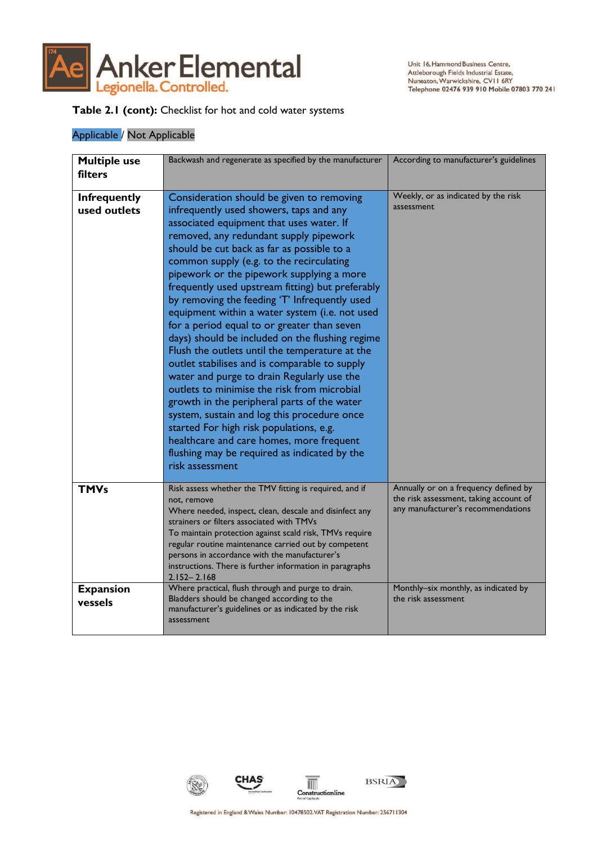

Unit 16, Hammond Business Centre, Attleborough Fields Industrial Estate, Nuneaton, Warwickshire, CVII 6RY<br>Telephone 02476 939 910 Mobile 07803 770 241

## **Table 2.1 (cont):** Checklist for hot and cold water systems

| <b>Multiple use</b><br>filters      | Backwash and regenerate as specified by the manufacturer                                                                                                                                                                                                                                                                                                                                                                                                                                                                                                                                                                                                                                                                                                                                                                                                                                                                                                                                                                           | According to manufacturer's guidelines                                                                                |
|-------------------------------------|------------------------------------------------------------------------------------------------------------------------------------------------------------------------------------------------------------------------------------------------------------------------------------------------------------------------------------------------------------------------------------------------------------------------------------------------------------------------------------------------------------------------------------------------------------------------------------------------------------------------------------------------------------------------------------------------------------------------------------------------------------------------------------------------------------------------------------------------------------------------------------------------------------------------------------------------------------------------------------------------------------------------------------|-----------------------------------------------------------------------------------------------------------------------|
| <b>Infrequently</b><br>used outlets | Consideration should be given to removing<br>infrequently used showers, taps and any<br>associated equipment that uses water. If<br>removed, any redundant supply pipework<br>should be cut back as far as possible to a<br>common supply (e.g. to the recirculating<br>pipework or the pipework supplying a more<br>frequently used upstream fitting) but preferably<br>by removing the feeding 'T' Infrequently used<br>equipment within a water system (i.e. not used<br>for a period equal to or greater than seven<br>days) should be included on the flushing regime<br>Flush the outlets until the temperature at the<br>outlet stabilises and is comparable to supply<br>water and purge to drain Regularly use the<br>outlets to minimise the risk from microbial<br>growth in the peripheral parts of the water<br>system, sustain and log this procedure once<br>started For high risk populations, e.g.<br>healthcare and care homes, more frequent<br>flushing may be required as indicated by the<br>risk assessment | Weekly, or as indicated by the risk<br>assessment                                                                     |
| <b>TMVs</b>                         | Risk assess whether the TMV fitting is required, and if<br>not, remove<br>Where needed, inspect, clean, descale and disinfect any<br>strainers or filters associated with TMVs<br>To maintain protection against scald risk, TMVs require<br>regular routine maintenance carried out by competent<br>persons in accordance with the manufacturer's<br>instructions. There is further information in paragraphs<br>$2.152 - 2.168$                                                                                                                                                                                                                                                                                                                                                                                                                                                                                                                                                                                                  | Annually or on a frequency defined by<br>the risk assessment, taking account of<br>any manufacturer's recommendations |
| <b>Expansion</b><br>vessels         | Where practical, flush through and purge to drain.<br>Bladders should be changed according to the<br>manufacturer's guidelines or as indicated by the risk<br>assessment                                                                                                                                                                                                                                                                                                                                                                                                                                                                                                                                                                                                                                                                                                                                                                                                                                                           | Monthly-six monthly, as indicated by<br>the risk assessment                                                           |